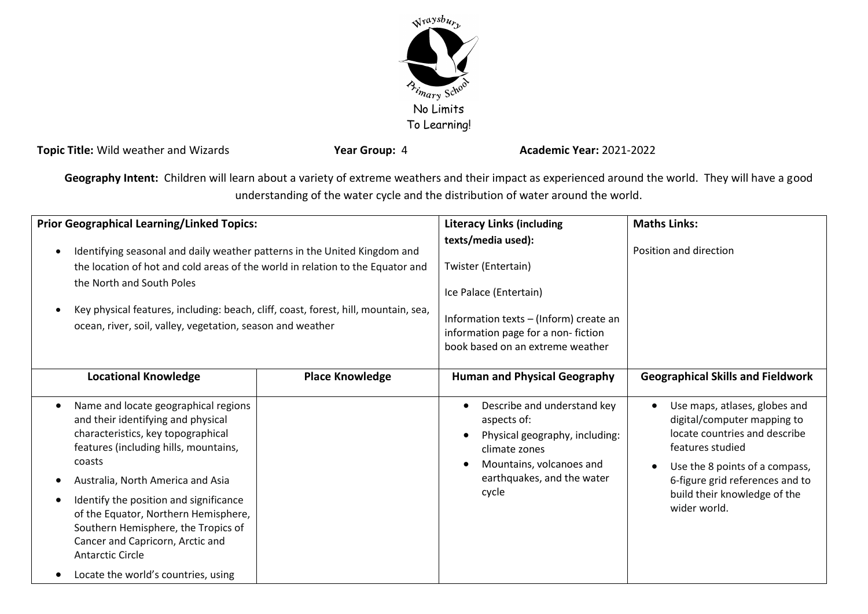

**Topic Title:** Wild weather and Wizards **Year Group:** 4 **Academic Year:** 2021-2022

**Geography Intent:** Children will learn about a variety of extreme weathers and their impact as experienced around the world. They will have a good understanding of the water cycle and the distribution of water around the world.

| <b>Prior Geographical Learning/Linked Topics:</b>                                                                                                                                                                                                                                                                                                                                                                                                    |                        | <b>Literacy Links (including</b>                                                                                                                                                            | <b>Maths Links:</b>                                                                                                                                                                                                                                 |
|------------------------------------------------------------------------------------------------------------------------------------------------------------------------------------------------------------------------------------------------------------------------------------------------------------------------------------------------------------------------------------------------------------------------------------------------------|------------------------|---------------------------------------------------------------------------------------------------------------------------------------------------------------------------------------------|-----------------------------------------------------------------------------------------------------------------------------------------------------------------------------------------------------------------------------------------------------|
| Identifying seasonal and daily weather patterns in the United Kingdom and<br>the location of hot and cold areas of the world in relation to the Equator and<br>the North and South Poles<br>Key physical features, including: beach, cliff, coast, forest, hill, mountain, sea,<br>ocean, river, soil, valley, vegetation, season and weather                                                                                                        |                        | texts/media used):<br>Twister (Entertain)<br>Ice Palace (Entertain)<br>Information texts - (Inform) create an<br>information page for a non-fiction<br>book based on an extreme weather     | Position and direction                                                                                                                                                                                                                              |
| <b>Locational Knowledge</b>                                                                                                                                                                                                                                                                                                                                                                                                                          | <b>Place Knowledge</b> | <b>Human and Physical Geography</b>                                                                                                                                                         | <b>Geographical Skills and Fieldwork</b>                                                                                                                                                                                                            |
| Name and locate geographical regions<br>$\bullet$<br>and their identifying and physical<br>characteristics, key topographical<br>features (including hills, mountains,<br>coasts<br>Australia, North America and Asia<br>Identify the position and significance<br>of the Equator, Northern Hemisphere,<br>Southern Hemisphere, the Tropics of<br>Cancer and Capricorn, Arctic and<br><b>Antarctic Circle</b><br>Locate the world's countries, using |                        | Describe and understand key<br>$\bullet$<br>aspects of:<br>Physical geography, including:<br>climate zones<br>Mountains, volcanoes and<br>$\epsilon$<br>earthquakes, and the water<br>cycle | Use maps, atlases, globes and<br>$\bullet$<br>digital/computer mapping to<br>locate countries and describe<br>features studied<br>Use the 8 points of a compass,<br>6-figure grid references and to<br>build their knowledge of the<br>wider world. |